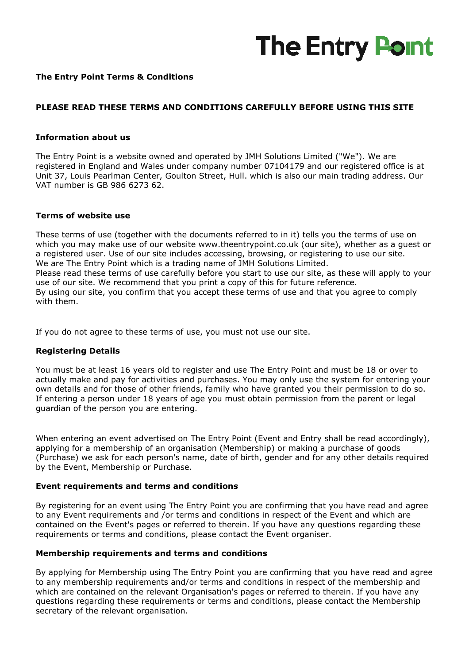# **The Entry Point**

## **The Entry Point Terms & Conditions**

## **PLEASE READ THESE TERMS AND CONDITIONS CAREFULLY BEFORE USING THIS SITE**

#### **Information about us**

The Entry Point is a website owned and operated by JMH Solutions Limited ("We"). We are registered in England and Wales under company number 07104179 and our registered office is at Unit 37, Louis Pearlman Center, Goulton Street, Hull. which is also our main trading address. Our VAT number is GB 986 6273 62. Unit 37, Louis Pearlman Center, Goulton Street, Hull. which is also our main trading address. Ou<br>VAT number is GB 986 6273 62.<br>**Terms of website use**<br>These terms of use (together with the documents referred to in it) tells

#### **Terms of website use**

which you may make use of our website www.theentrypoint.co.uk (our site), whether as a guest or a registered user. Use of our site includes accessing, browsing, or registering to use our site. We are The Entry Point which is a trading name of JMH Solutions Limited. Please read these terms of use carefully before you start to use our site, as these will apply to your use of our site. We recommend that you print a copy of this for future reference. By using our site, you confirm that you accept these terms of use and that you agree to comply with them. The Entry Point which is a trading name of JMH Solutions Limited.<br>
read these terms of use carefully before you start to use our site, as these will apply to your site. We recommend that you print a copy of this for future rems of use (together with the documents referred to<br>roo may make use of our website www.theentrypoint.<br>Fire Entry Point which is a trading name of JMH Solutions<br>The Entry Point which is a trading name of JMH Solutions<br>The

If you do not agree to these terms of use, you must not use our site.

#### **Registering Details**

You must be at least 16 years old to register and use The Entry Point and must be 18 or over to actually make and pay for activities and purchases. You may only use the system for entering your own details and for those of other friends, family who have granted you their permission to do so. If entering a person under 18 years of age you must obtain permission from the parent or legal guardian of the person you are entering.

When entering an event advertised on The Entry Point (Event and Entry shall be read accordingly), applying for a membership of an organisation (Me (Membership) or making a purchase of goods (Purchase) we ask for each person's name, date of birth, gender and for any other details required by the Event, Membership or Purchase.

#### **Event requirements and terms and conditions**

By registering for an event using The Entry Point you are confirming that you have read and agree to any Event requirements and /or terms and conditions in respect of the Event and which are contained on the Event's pages or referred to therein. If you have any questions regarding these requirements or terms and conditions, please contact the Event organiser. g The Entry Point you are confirming that you have read and agre<br>/or terms and conditions in respect of the Event and which are<br>or referred to therein. If you have any questions regarding these<br>ditions, please contact the

#### **Membership requirements and terms and conditions**

By applying for Membership using The Entry Point you are confirming that you have read and agree to any membership requirements and/or terms and conditions in respect of the membership and which are contained on the relevant Organisation's pages or referred to therein. If you have any questions regarding these requirements or terms and conditions, please contact the Membership secretary of the relevant organisation.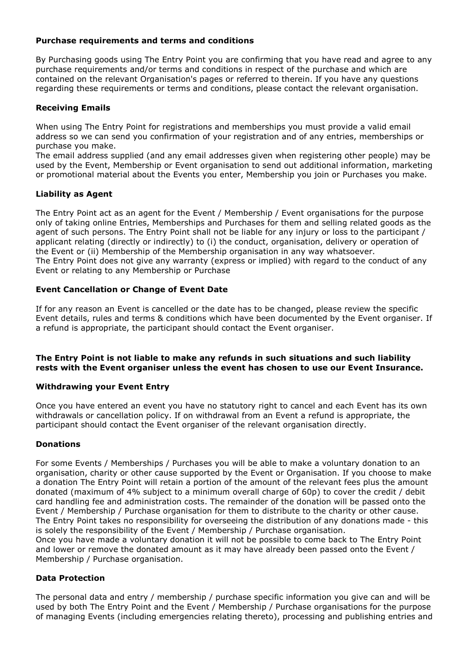## **Purchase requirements and terms and conditions**

By Purchasing goods using The Entry Point you are confirming that you have read and agree to any purchase requirements and/or terms and conditions in respect of the purchase and which are contained on the relevant Organisation's pages or referred to therein. If you have any questions regarding these requirements or terms and conditions, please contact the relevant organisation.

# **Receiving Emails**

When using The Entry Point for registrations and memberships you must provide a valid email address so we can send you confirmation of your registration and of any entries, memberships or purchase you make.

The email address supplied (and any email addresses given when registering other people) may be used by the Event, Membership or Event organisation to send out additional information, marketing or promotional material about the Events you enter, Membership you join or Purchases you make.

# **Liability as Agent**

The Entry Point act as an agent for the Event / Membership / Event organisations for the purpose only of taking online Entries, Memberships and Purchases for them and selling related goods as the agent of such persons. The Entry Point shall not be liable for any injury or loss to the participant / applicant relating (directly or indirectly) to (i) the conduct, organisation, delivery or operation of the Event or (ii) Membership of the Membership organisation in any way whatsoever. The Entry Point does not give any warranty (express or implied) with regard to the conduct of any Event or relating to any Membership or Purchase

# **Event Cancellation or Change of Event Date**

If for any reason an Event is cancelled or the date has to be changed, please review the specific Event details, rules and terms & conditions which have been documented by the Event organiser. If a refund is appropriate, the participant should contact the Event organiser.

## **The Entry Point is not liable to make any refunds in such situations and such liability rests with the Event organiser unless the event has chosen to use our Event Insurance.**

# **Withdrawing your Event Entry**

Once you have entered an event you have no statutory right to cancel and each Event has its own withdrawals or cancellation policy. If on withdrawal from an Event a refund is appropriate, the participant should contact the Event organiser of the relevant organisation directly.

# **Donations**

For some Events / Memberships / Purchases you will be able to make a voluntary donation to an organisation, charity or other cause supported by the Event or Organisation. If you choose to make a donation The Entry Point will retain a portion of the amount of the relevant fees plus the amount donated (maximum of 4% subject to a minimum overall charge of 60p) to cover the credit / debit card handling fee and administration costs. The remainder of the donation will be passed onto the Event / Membership / Purchase organisation for them to distribute to the charity or other cause. The Entry Point takes no responsibility for overseeing the distribution of any donations made - this is solely the responsibility of the Event / Membership / Purchase organisation. Once you have made a voluntary donation it will not be possible to come back to The Entry Point and lower or remove the donated amount as it may have already been passed onto the Event / Membership / Purchase organisation.

#### **Data Protection**

The personal data and entry / membership / purchase specific information you give can and will be used by both The Entry Point and the Event / Membership / Purchase organisations for the purpose of managing Events (including emergencies relating thereto), processing and publishing entries and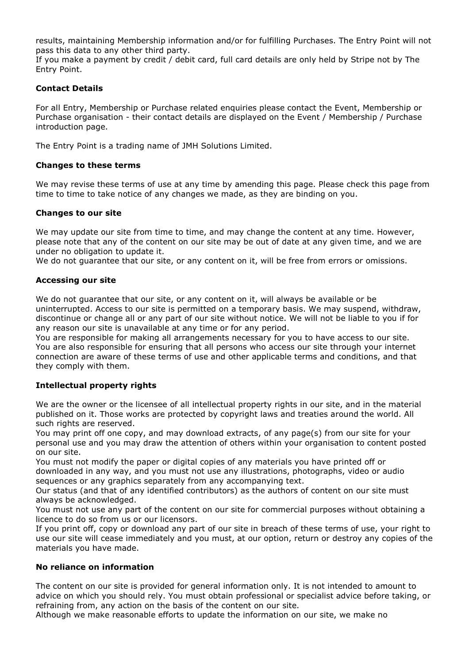results, maintaining Membership information and/or for fulfilling Purchases. The Entry Point will not pass this data to any other third party.

If you make a payment by credit / debit card, full card details are only held by Stripe not by The Entry Point.

# **Contact Details**

For all Entry, Membership or Purchase related enquiries please contact the Event, Membership or Purchase organisation - their contact details are displayed on the Event / Membership / Purchase introduction page.

The Entry Point is a trading name of JMH Solutions Limited.

## **Changes to these terms**

We may revise these terms of use at any time by amending this page. Please check this page from time to time to take notice of any changes we made, as they are binding on you.

## **Changes to our site**

We may update our site from time to time, and may change the content at any time. However, please note that any of the content on our site may be out of date at any given time, and we are under no obligation to update it.

We do not guarantee that our site, or any content on it, will be free from errors or omissions.

## **Accessing our site**

We do not guarantee that our site, or any content on it, will always be available or be uninterrupted. Access to our site is permitted on a temporary basis. We may suspend, withdraw, discontinue or change all or any part of our site without notice. We will not be liable to you if for any reason our site is unavailable at any time or for any period.

You are responsible for making all arrangements necessary for you to have access to our site. You are also responsible for ensuring that all persons who access our site through your internet connection are aware of these terms of use and other applicable terms and conditions, and that they comply with them.

# **Intellectual property rights**

We are the owner or the licensee of all intellectual property rights in our site, and in the material published on it. Those works are protected by copyright laws and treaties around the world. All such rights are reserved.

You may print off one copy, and may download extracts, of any page(s) from our site for your personal use and you may draw the attention of others within your organisation to content posted on our site.

You must not modify the paper or digital copies of any materials you have printed off or downloaded in any way, and you must not use any illustrations, photographs, video or audio sequences or any graphics separately from any accompanying text.

Our status (and that of any identified contributors) as the authors of content on our site must always be acknowledged.

You must not use any part of the content on our site for commercial purposes without obtaining a licence to do so from us or our licensors.

If you print off, copy or download any part of our site in breach of these terms of use, your right to use our site will cease immediately and you must, at our option, return or destroy any copies of the materials you have made.

#### **No reliance on information**

The content on our site is provided for general information only. It is not intended to amount to advice on which you should rely. You must obtain professional or specialist advice before taking, or refraining from, any action on the basis of the content on our site.

Although we make reasonable efforts to update the information on our site, we make no